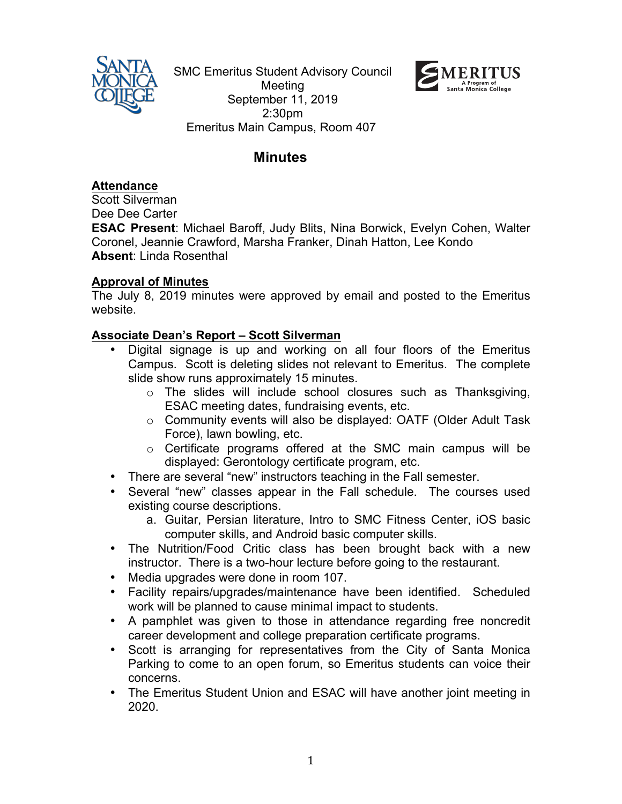

SMC Emeritus Student Advisory Council Meeting September 11, 2019 2:30pm Emeritus Main Campus, Room 407



# **Minutes**

**Attendance**

Scott Silverman Dee Dee Carter

**ESAC Present**: Michael Baroff, Judy Blits, Nina Borwick, Evelyn Cohen, Walter Coronel, Jeannie Crawford, Marsha Franker, Dinah Hatton, Lee Kondo **Absent**: Linda Rosenthal

# **Approval of Minutes**

The July 8, 2019 minutes were approved by email and posted to the Emeritus website.

# **Associate Dean's Report – Scott Silverman**

- Digital signage is up and working on all four floors of the Emeritus Campus. Scott is deleting slides not relevant to Emeritus. The complete slide show runs approximately 15 minutes.
	- o The slides will include school closures such as Thanksgiving, ESAC meeting dates, fundraising events, etc.
	- o Community events will also be displayed: OATF (Older Adult Task Force), lawn bowling, etc.
	- o Certificate programs offered at the SMC main campus will be displayed: Gerontology certificate program, etc.
- There are several "new" instructors teaching in the Fall semester.
- Several "new" classes appear in the Fall schedule. The courses used existing course descriptions.
	- a. Guitar, Persian literature, Intro to SMC Fitness Center, iOS basic computer skills, and Android basic computer skills.
- The Nutrition/Food Critic class has been brought back with a new instructor. There is a two-hour lecture before going to the restaurant.
- Media upgrades were done in room 107.
- Facility repairs/upgrades/maintenance have been identified. Scheduled work will be planned to cause minimal impact to students.
- A pamphlet was given to those in attendance regarding free noncredit career development and college preparation certificate programs.
- Scott is arranging for representatives from the City of Santa Monica Parking to come to an open forum, so Emeritus students can voice their concerns.
- The Emeritus Student Union and ESAC will have another joint meeting in 2020.